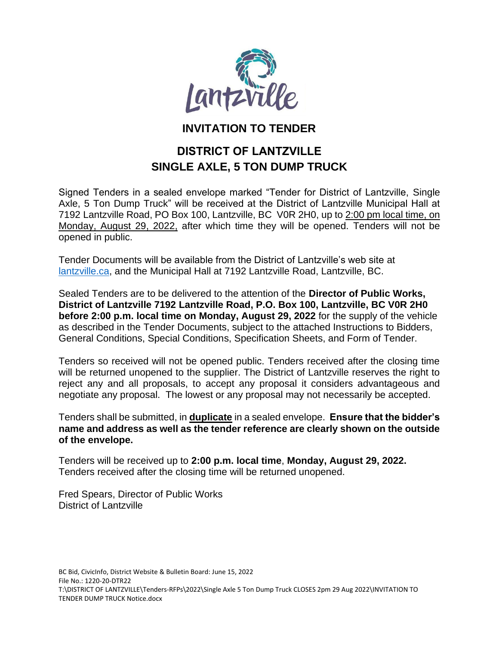

# **INVITATION TO TENDER**

# **DISTRICT OF LANTZVILLE SINGLE AXLE, 5 TON DUMP TRUCK**

Signed Tenders in a sealed envelope marked "Tender for District of Lantzville, Single Axle, 5 Ton Dump Truck" will be received at the District of Lantzville Municipal Hall at 7192 Lantzville Road, PO Box 100, Lantzville, BC V0R 2H0, up to 2:00 pm local time, on Monday, August 29, 2022, after which time they will be opened. Tenders will not be opened in public.

Tender Documents will be available from the District of Lantzville's web site at [lantzville.ca,](http://www.lantzville.ca/) and the Municipal Hall at 7192 Lantzville Road, Lantzville, BC.

Sealed Tenders are to be delivered to the attention of the **Director of Public Works, District of Lantzville 7192 Lantzville Road, P.O. Box 100, Lantzville, BC V0R 2H0 before 2:00 p.m. local time on Monday, August 29, 2022** for the supply of the vehicle as described in the Tender Documents, subject to the attached Instructions to Bidders, General Conditions, Special Conditions, Specification Sheets, and Form of Tender.

Tenders so received will not be opened public. Tenders received after the closing time will be returned unopened to the supplier. The District of Lantzville reserves the right to reject any and all proposals, to accept any proposal it considers advantageous and negotiate any proposal. The lowest or any proposal may not necessarily be accepted.

Tenders shall be submitted, in **duplicate** in a sealed envelope. **Ensure that the bidder's name and address as well as the tender reference are clearly shown on the outside of the envelope.**

Tenders will be received up to **2:00 p.m. local time**, **Monday, August 29, 2022.** Tenders received after the closing time will be returned unopened.

Fred Spears, Director of Public Works District of Lantzville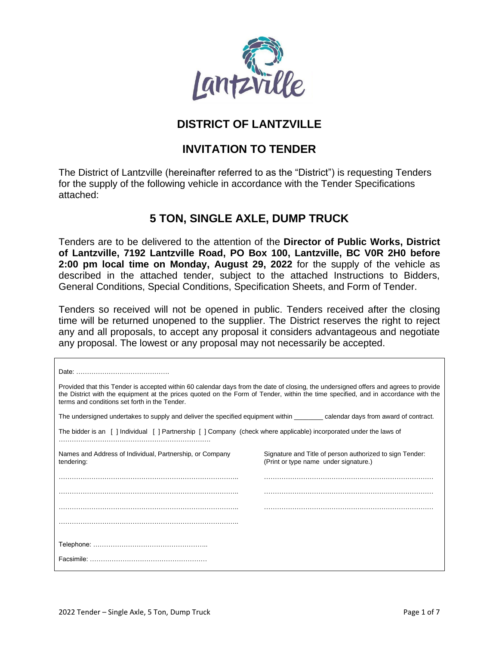

# **DISTRICT OF LANTZVILLE**

# **INVITATION TO TENDER**

The District of Lantzville (hereinafter referred to as the "District") is requesting Tenders for the supply of the following vehicle in accordance with the Tender Specifications attached:

# **5 TON, SINGLE AXLE, DUMP TRUCK**

Tenders are to be delivered to the attention of the **Director of Public Works, District of Lantzville, 7192 Lantzville Road, PO Box 100, Lantzville, BC V0R 2H0 before 2:00 pm local time on Monday, August 29, 2022** for the supply of the vehicle as described in the attached tender, subject to the attached Instructions to Bidders, General Conditions, Special Conditions, Specification Sheets, and Form of Tender.

Tenders so received will not be opened in public. Tenders received after the closing time will be returned unopened to the supplier. The District reserves the right to reject any and all proposals, to accept any proposal it considers advantageous and negotiate any proposal. The lowest or any proposal may not necessarily be accepted.

| Provided that this Tender is accepted within 60 calendar days from the date of closing, the undersigned offers and agrees to provide<br>the District with the equipment at the prices quoted on the Form of Tender, within the time specified, and in accordance with the<br>terms and conditions set forth in the Tender. |                                                                                                   |  |
|----------------------------------------------------------------------------------------------------------------------------------------------------------------------------------------------------------------------------------------------------------------------------------------------------------------------------|---------------------------------------------------------------------------------------------------|--|
| The undersigned undertakes to supply and deliver the specified equipment within example calendar days from award of contract.                                                                                                                                                                                              |                                                                                                   |  |
| The bidder is an [] Individual [] Partnership [] Company (check where applicable) incorporated under the laws of                                                                                                                                                                                                           |                                                                                                   |  |
|                                                                                                                                                                                                                                                                                                                            |                                                                                                   |  |
| Names and Address of Individual, Partnership, or Company<br>tendering:                                                                                                                                                                                                                                                     | Signature and Title of person authorized to sign Tender:<br>(Print or type name under signature.) |  |
|                                                                                                                                                                                                                                                                                                                            |                                                                                                   |  |
|                                                                                                                                                                                                                                                                                                                            |                                                                                                   |  |
|                                                                                                                                                                                                                                                                                                                            |                                                                                                   |  |
|                                                                                                                                                                                                                                                                                                                            |                                                                                                   |  |
|                                                                                                                                                                                                                                                                                                                            |                                                                                                   |  |
|                                                                                                                                                                                                                                                                                                                            |                                                                                                   |  |
|                                                                                                                                                                                                                                                                                                                            |                                                                                                   |  |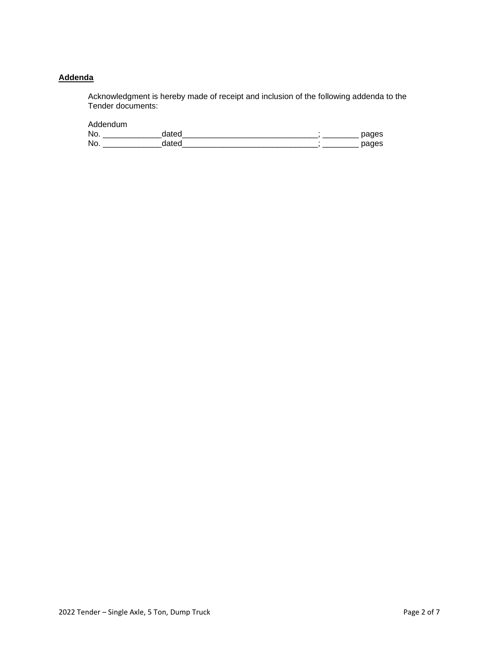#### **Addenda**

Acknowledgment is hereby made of receipt and inclusion of the following addenda to the Tender documents:

Addendum

| Nc |  |  |
|----|--|--|
| No |  |  |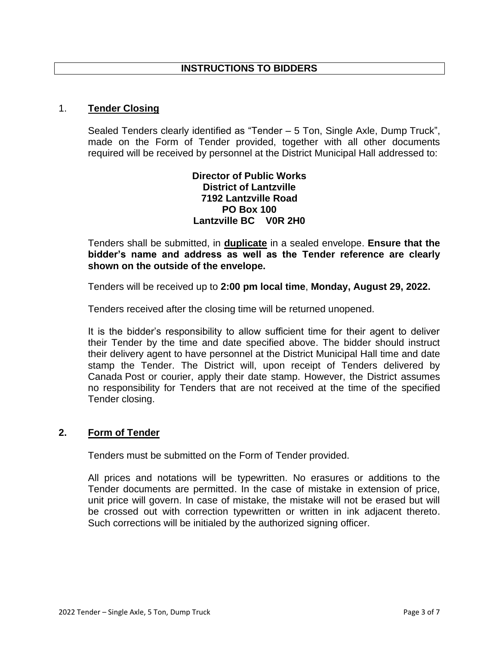#### 1. **Tender Closing**

Sealed Tenders clearly identified as "Tender – 5 Ton, Single Axle, Dump Truck", made on the Form of Tender provided, together with all other documents required will be received by personnel at the District Municipal Hall addressed to:

## **Director of Public Works District of Lantzville 7192 Lantzville Road PO Box 100 Lantzville BC V0R 2H0**

Tenders shall be submitted, in **duplicate** in a sealed envelope. **Ensure that the bidder's name and address as well as the Tender reference are clearly shown on the outside of the envelope.**

Tenders will be received up to **2:00 pm local time**, **Monday, August 29, 2022.**

Tenders received after the closing time will be returned unopened.

It is the bidder's responsibility to allow sufficient time for their agent to deliver their Tender by the time and date specified above. The bidder should instruct their delivery agent to have personnel at the District Municipal Hall time and date stamp the Tender. The District will, upon receipt of Tenders delivered by Canada Post or courier, apply their date stamp. However, the District assumes no responsibility for Tenders that are not received at the time of the specified Tender closing.

### **2. Form of Tender**

Tenders must be submitted on the Form of Tender provided.

All prices and notations will be typewritten. No erasures or additions to the Tender documents are permitted. In the case of mistake in extension of price, unit price will govern. In case of mistake, the mistake will not be erased but will be crossed out with correction typewritten or written in ink adjacent thereto. Such corrections will be initialed by the authorized signing officer.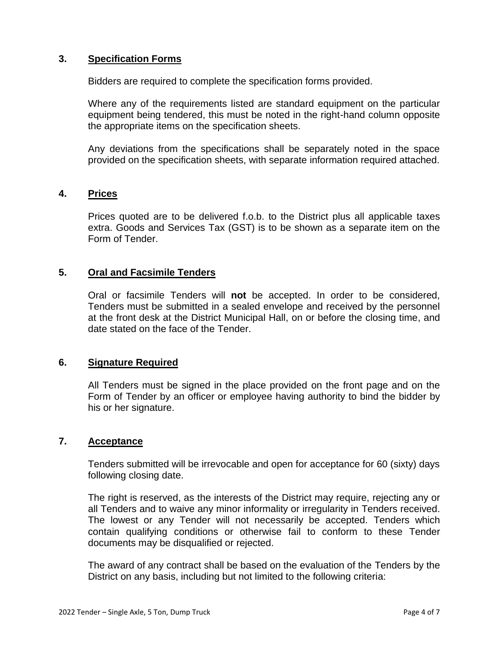#### **3. Specification Forms**

Bidders are required to complete the specification forms provided.

Where any of the requirements listed are standard equipment on the particular equipment being tendered, this must be noted in the right-hand column opposite the appropriate items on the specification sheets.

Any deviations from the specifications shall be separately noted in the space provided on the specification sheets, with separate information required attached.

#### **4. Prices**

Prices quoted are to be delivered f.o.b. to the District plus all applicable taxes extra. Goods and Services Tax (GST) is to be shown as a separate item on the Form of Tender.

### **5. Oral and Facsimile Tenders**

Oral or facsimile Tenders will **not** be accepted. In order to be considered, Tenders must be submitted in a sealed envelope and received by the personnel at the front desk at the District Municipal Hall, on or before the closing time, and date stated on the face of the Tender.

### **6. Signature Required**

All Tenders must be signed in the place provided on the front page and on the Form of Tender by an officer or employee having authority to bind the bidder by his or her signature.

#### **7. Acceptance**

Tenders submitted will be irrevocable and open for acceptance for 60 (sixty) days following closing date.

The right is reserved, as the interests of the District may require, rejecting any or all Tenders and to waive any minor informality or irregularity in Tenders received. The lowest or any Tender will not necessarily be accepted. Tenders which contain qualifying conditions or otherwise fail to conform to these Tender documents may be disqualified or rejected.

The award of any contract shall be based on the evaluation of the Tenders by the District on any basis, including but not limited to the following criteria: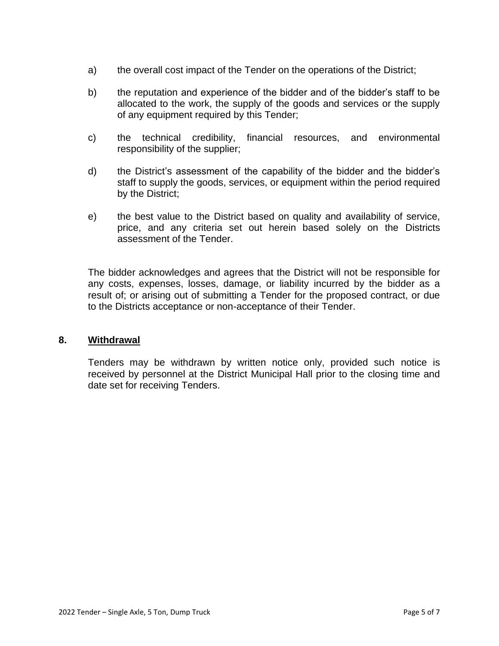- a) the overall cost impact of the Tender on the operations of the District;
- b) the reputation and experience of the bidder and of the bidder's staff to be allocated to the work, the supply of the goods and services or the supply of any equipment required by this Tender;
- c) the technical credibility, financial resources, and environmental responsibility of the supplier;
- d) the District's assessment of the capability of the bidder and the bidder's staff to supply the goods, services, or equipment within the period required by the District;
- e) the best value to the District based on quality and availability of service, price, and any criteria set out herein based solely on the Districts assessment of the Tender.

The bidder acknowledges and agrees that the District will not be responsible for any costs, expenses, losses, damage, or liability incurred by the bidder as a result of; or arising out of submitting a Tender for the proposed contract, or due to the Districts acceptance or non-acceptance of their Tender.

### **8. Withdrawal**

Tenders may be withdrawn by written notice only, provided such notice is received by personnel at the District Municipal Hall prior to the closing time and date set for receiving Tenders.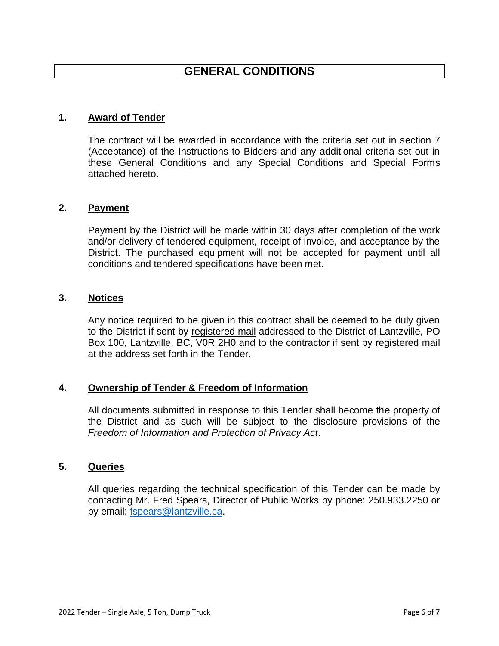## **1. Award of Tender**

The contract will be awarded in accordance with the criteria set out in section 7 (Acceptance) of the Instructions to Bidders and any additional criteria set out in these General Conditions and any Special Conditions and Special Forms attached hereto.

### **2. Payment**

Payment by the District will be made within 30 days after completion of the work and/or delivery of tendered equipment, receipt of invoice, and acceptance by the District. The purchased equipment will not be accepted for payment until all conditions and tendered specifications have been met.

#### **3. Notices**

Any notice required to be given in this contract shall be deemed to be duly given to the District if sent by registered mail addressed to the District of Lantzville, PO Box 100, Lantzville, BC, V0R 2H0 and to the contractor if sent by registered mail at the address set forth in the Tender.

### **4. Ownership of Tender & Freedom of Information**

All documents submitted in response to this Tender shall become the property of the District and as such will be subject to the disclosure provisions of the *Freedom of Information and Protection of Privacy Act*.

#### **5. Queries**

All queries regarding the technical specification of this Tender can be made by contacting Mr. Fred Spears, Director of Public Works by phone: 250.933.2250 or by email: [fspears@lantzville.ca.](mailto:fspears@lantzville.ca)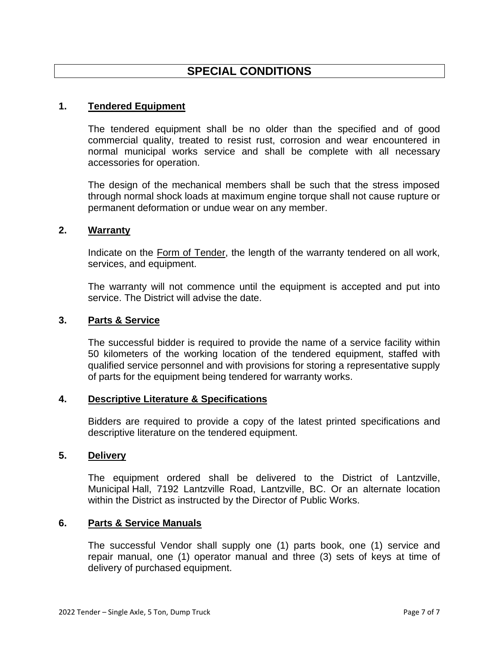# **SPECIAL CONDITIONS**

#### **1. Tendered Equipment**

The tendered equipment shall be no older than the specified and of good commercial quality, treated to resist rust, corrosion and wear encountered in normal municipal works service and shall be complete with all necessary accessories for operation.

The design of the mechanical members shall be such that the stress imposed through normal shock loads at maximum engine torque shall not cause rupture or permanent deformation or undue wear on any member.

## **2. Warranty**

Indicate on the Form of Tender, the length of the warranty tendered on all work, services, and equipment.

The warranty will not commence until the equipment is accepted and put into service. The District will advise the date.

#### **3. Parts & Service**

The successful bidder is required to provide the name of a service facility within 50 kilometers of the working location of the tendered equipment, staffed with qualified service personnel and with provisions for storing a representative supply of parts for the equipment being tendered for warranty works.

#### **4. Descriptive Literature & Specifications**

Bidders are required to provide a copy of the latest printed specifications and descriptive literature on the tendered equipment.

#### **5. Delivery**

The equipment ordered shall be delivered to the District of Lantzville, Municipal Hall, 7192 Lantzville Road, Lantzville, BC. Or an alternate location within the District as instructed by the Director of Public Works.

#### **6. Parts & Service Manuals**

The successful Vendor shall supply one (1) parts book, one (1) service and repair manual, one (1) operator manual and three (3) sets of keys at time of delivery of purchased equipment.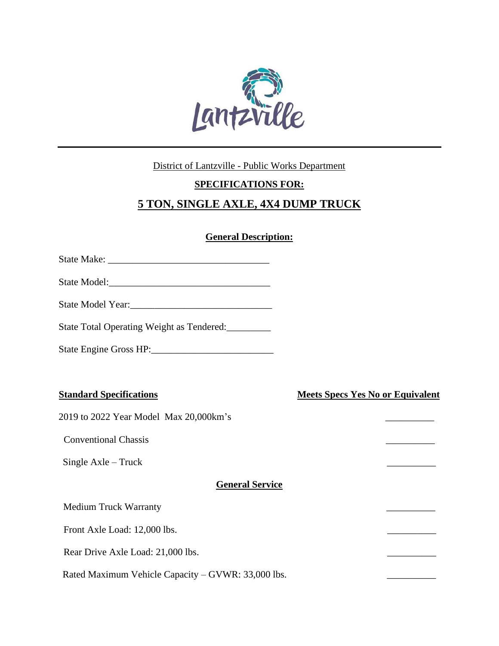

### District of Lantzville - Public Works Department

# **SPECIFICATIONS FOR:**

# **5 TON, SINGLE AXLE, 4X4 DUMP TRUCK**

## **General Description:**

| State Total Operating Weight as Tendered:          |                                         |
|----------------------------------------------------|-----------------------------------------|
| State Engine Gross HP:                             |                                         |
|                                                    |                                         |
| <b>Standard Specifications</b>                     | <b>Meets Specs Yes No or Equivalent</b> |
| 2019 to 2022 Year Model Max 20,000km's             |                                         |
| <b>Conventional Chassis</b>                        |                                         |
| Single Axle – Truck                                |                                         |
| <b>General Service</b>                             |                                         |
| <b>Medium Truck Warranty</b>                       |                                         |
| Front Axle Load: 12,000 lbs.                       |                                         |
| Rear Drive Axle Load: 21,000 lbs.                  |                                         |
| Rated Maximum Vehicle Capacity – GVWR: 33,000 lbs. |                                         |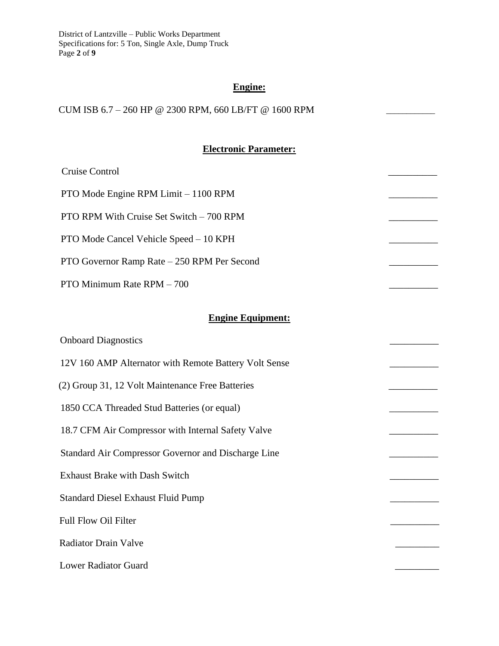District of Lantzville – Public Works Department Specifications for: 5 Ton, Single Axle, Dump Truck Page **2** of **9**

# **Engine:**

CUM ISB 6.7 – 260 HP @ 2300 RPM, 660 LB/FT @ 1600 RPM

# **Electronic Parameter:**

| Cruise Control                                        |  |
|-------------------------------------------------------|--|
| PTO Mode Engine RPM Limit - 1100 RPM                  |  |
| PTO RPM With Cruise Set Switch - 700 RPM              |  |
| PTO Mode Cancel Vehicle Speed - 10 KPH                |  |
| PTO Governor Ramp Rate - 250 RPM Per Second           |  |
| PTO Minimum Rate RPM - 700                            |  |
|                                                       |  |
| <b>Engine Equipment:</b>                              |  |
| <b>Onboard Diagnostics</b>                            |  |
| 12V 160 AMP Alternator with Remote Battery Volt Sense |  |
| (2) Group 31, 12 Volt Maintenance Free Batteries      |  |
| 1850 CCA Threaded Stud Batteries (or equal)           |  |
| 18.7 CFM Air Compressor with Internal Safety Valve    |  |
| Standard Air Compressor Governor and Discharge Line   |  |
| <b>Exhaust Brake with Dash Switch</b>                 |  |
| <b>Standard Diesel Exhaust Fluid Pump</b>             |  |
| Full Flow Oil Filter                                  |  |
| <b>Radiator Drain Valve</b>                           |  |
| <b>Lower Radiator Guard</b>                           |  |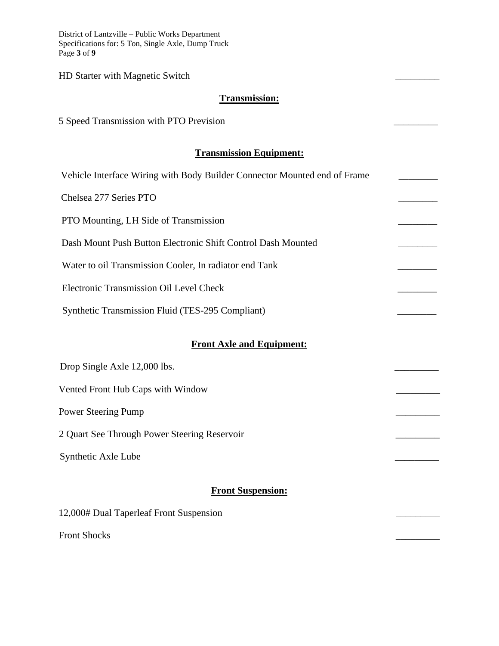District of Lantzville – Public Works Department Specifications for: 5 Ton, Single Axle, Dump Truck Page **3** of **9**

HD Starter with Magnetic Switch \_\_\_\_\_\_\_\_\_

#### **Transmission:**

5 Speed Transmission with PTO Prevision

#### **Transmission Equipment:**

| Vehicle Interface Wiring with Body Builder Connector Mounted end of Frame |  |  |
|---------------------------------------------------------------------------|--|--|
| Chelsea 277 Series PTO                                                    |  |  |
| PTO Mounting, LH Side of Transmission                                     |  |  |
| Dash Mount Push Button Electronic Shift Control Dash Mounted              |  |  |
| Water to oil Transmission Cooler, In radiator end Tank                    |  |  |
| Electronic Transmission Oil Level Check                                   |  |  |
| Synthetic Transmission Fluid (TES-295 Compliant)                          |  |  |
| <b>Front Axle and Equipment:</b>                                          |  |  |
| Drop Single Axle 12,000 lbs.                                              |  |  |
| Vented Front Hub Caps with Window                                         |  |  |
| Power Steering Pump                                                       |  |  |
|                                                                           |  |  |
| 2 Quart See Through Power Steering Reservoir                              |  |  |
| Synthetic Axle Lube                                                       |  |  |

# **Front Suspension:**

| 12,000# Dual Taperleaf Front Suspension |  |
|-----------------------------------------|--|
|                                         |  |

Front Shocks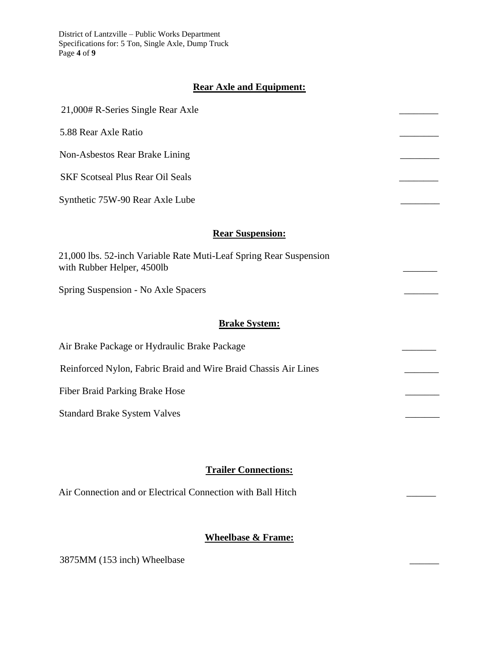District of Lantzville – Public Works Department Specifications for: 5 Ton, Single Axle, Dump Truck Page **4** of **9**

## **Rear Axle and Equipment:**

| 21,000# R-Series Single Rear Axle                                                                |  |
|--------------------------------------------------------------------------------------------------|--|
| 5.88 Rear Axle Ratio                                                                             |  |
| Non-Asbestos Rear Brake Lining                                                                   |  |
| <b>SKF Scotseal Plus Rear Oil Seals</b>                                                          |  |
| Synthetic 75W-90 Rear Axle Lube                                                                  |  |
| <b>Rear Suspension:</b>                                                                          |  |
| 21,000 lbs. 52-inch Variable Rate Muti-Leaf Spring Rear Suspension<br>with Rubber Helper, 4500lb |  |

Spring Suspension - No Axle Spacers \_\_\_\_\_\_\_

#### **Brake System:**

Air Brake Package or Hydraulic Brake Package

Reinforced Nylon, Fabric Braid and Wire Braid Chassis Air Lines

Fiber Braid Parking Brake Hose

Standard Brake System Valves

### **Trailer Connections:**

Air Connection and or Electrical Connection with Ball Hitch

# **Wheelbase & Frame:**

3875MM (153 inch) Wheelbase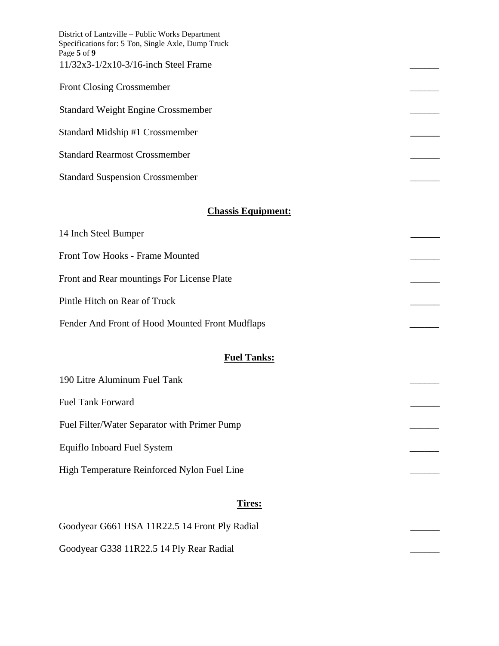| District of Lantzville – Public Works Department<br>Specifications for: 5 Ton, Single Axle, Dump Truck<br>Page 5 of 9 |  |
|-----------------------------------------------------------------------------------------------------------------------|--|
| $11/32x3 - 1/2x10 - 3/16$ -inch Steel Frame                                                                           |  |
| <b>Front Closing Crossmember</b>                                                                                      |  |
| <b>Standard Weight Engine Crossmember</b>                                                                             |  |
| Standard Midship #1 Crossmember                                                                                       |  |
| <b>Standard Rearmost Crossmember</b>                                                                                  |  |
| <b>Standard Suspension Crossmember</b>                                                                                |  |

## **Chassis Equipment:**

| 14 Inch Steel Bumper                            |  |
|-------------------------------------------------|--|
| Front Tow Hooks - Frame Mounted                 |  |
| Front and Rear mountings For License Plate      |  |
| Pintle Hitch on Rear of Truck                   |  |
| Fender And Front of Hood Mounted Front Mudflaps |  |

# **Fuel Tanks:**

| 190 Litre Aluminum Fuel Tank                 |  |
|----------------------------------------------|--|
| <b>Fuel Tank Forward</b>                     |  |
| Fuel Filter/Water Separator with Primer Pump |  |
| Equiflo Inboard Fuel System                  |  |
| High Temperature Reinforced Nylon Fuel Line  |  |

# **Tires:**

| Goodyear G661 HSA 11R22.5 14 Front Ply Radial |  |
|-----------------------------------------------|--|
| Goodyear G338 11R22.5 14 Ply Rear Radial      |  |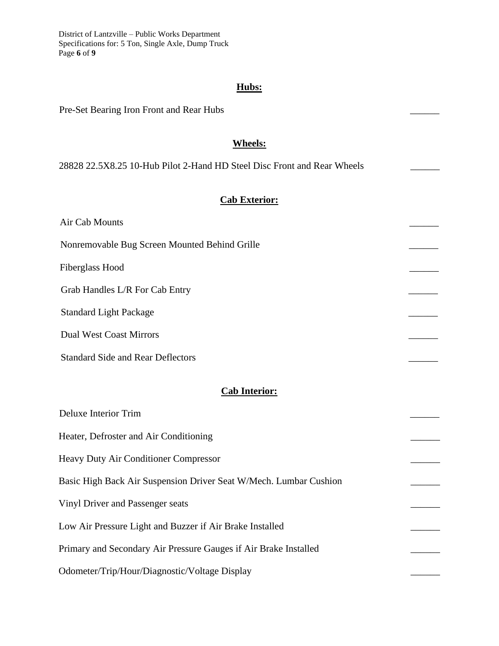District of Lantzville – Public Works Department Specifications for: 5 Ton, Single Axle, Dump Truck Page **6** of **9**

# **Hubs:**

| Pre-Set Bearing Iron Front and Rear Hubs                                |  |
|-------------------------------------------------------------------------|--|
| <b>Wheels:</b>                                                          |  |
| 28828 22.5X8.25 10-Hub Pilot 2-Hand HD Steel Disc Front and Rear Wheels |  |
| <b>Cab Exterior:</b>                                                    |  |
| Air Cab Mounts                                                          |  |
| Nonremovable Bug Screen Mounted Behind Grille                           |  |
| <b>Fiberglass Hood</b>                                                  |  |
| Grab Handles L/R For Cab Entry                                          |  |
| <b>Standard Light Package</b>                                           |  |
| <b>Dual West Coast Mirrors</b>                                          |  |
| <b>Standard Side and Rear Deflectors</b>                                |  |
|                                                                         |  |
| <b>Cab Interior:</b>                                                    |  |
| <b>Deluxe Interior Trim</b>                                             |  |
| Heater, Defroster and Air Conditioning                                  |  |
| Heavy Duty Air Conditioner Compressor                                   |  |
| Basic High Back Air Suspension Driver Seat W/Mech. Lumbar Cushion       |  |
| Vinyl Driver and Passenger seats                                        |  |
| Low Air Pressure Light and Buzzer if Air Brake Installed                |  |
| Primary and Secondary Air Pressure Gauges if Air Brake Installed        |  |
| Odometer/Trip/Hour/Diagnostic/Voltage Display                           |  |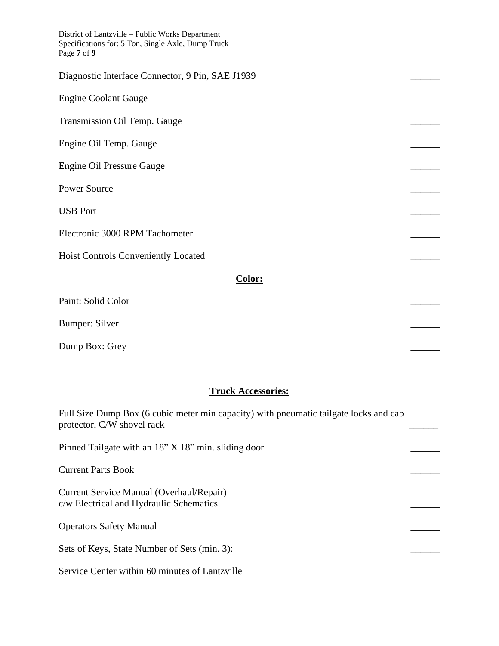| District of Lantzville - Public Works Department<br>Specifications for: 5 Ton, Single Axle, Dump Truck<br>Page 7 of 9 |  |
|-----------------------------------------------------------------------------------------------------------------------|--|
| Diagnostic Interface Connector, 9 Pin, SAE J1939                                                                      |  |
| <b>Engine Coolant Gauge</b>                                                                                           |  |
| Transmission Oil Temp. Gauge                                                                                          |  |
| Engine Oil Temp. Gauge                                                                                                |  |
| <b>Engine Oil Pressure Gauge</b>                                                                                      |  |
| <b>Power Source</b>                                                                                                   |  |
| <b>USB Port</b>                                                                                                       |  |
| Electronic 3000 RPM Tachometer                                                                                        |  |
| Hoist Controls Conveniently Located                                                                                   |  |
| Color:                                                                                                                |  |
| Paint: Solid Color                                                                                                    |  |
| <b>Bumper: Silver</b>                                                                                                 |  |

Dump Box: Grey

### **Truck Accessories:**

Full Size Dump Box (6 cubic meter min capacity) with pneumatic tailgate locks and cab protector, C/W shovel rack

Pinned Tailgate with an 18" X 18" min. sliding door Current Parts Book \_\_\_\_\_\_ Current Service Manual (Overhaul/Repair) c/w Electrical and Hydraulic Schematics \_\_\_\_\_\_ Operators Safety Manual \_\_\_\_\_\_ Sets of Keys, State Number of Sets (min. 3): Service Center within 60 minutes of Lantzville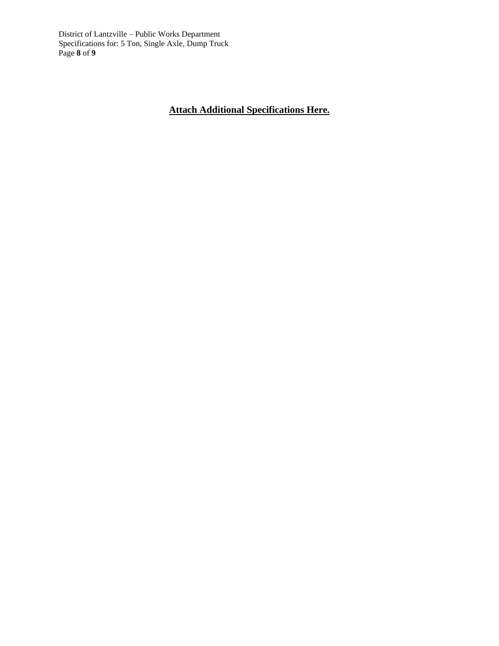District of Lantzville – Public Works Department Specifications for: 5 Ton, Single Axle, Dump Truck Page **8** of **9**

# **Attach Additional Specifications Here.**